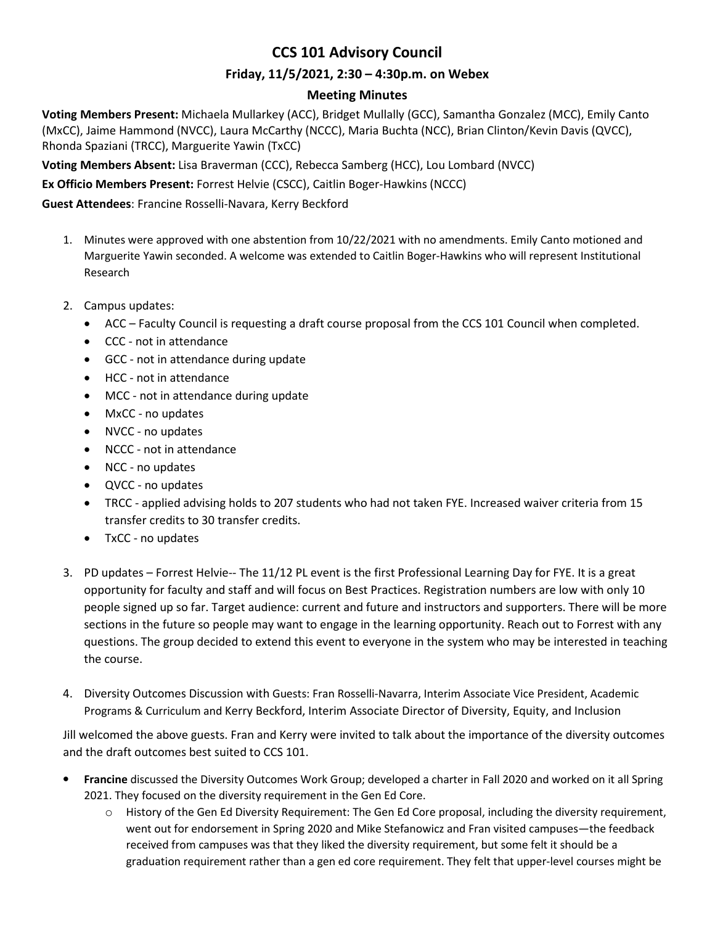# **CCS 101 Advisory Council**

## **Friday, 11/5/2021, 2:30 – 4:30p.m. on Webex**

## **Meeting Minutes**

**Voting Members Present:** Michaela Mullarkey (ACC), Bridget Mullally (GCC), Samantha Gonzalez (MCC), Emily Canto (MxCC), Jaime Hammond (NVCC), Laura McCarthy (NCCC), Maria Buchta (NCC), Brian Clinton/Kevin Davis (QVCC), Rhonda Spaziani (TRCC), Marguerite Yawin (TxCC)

**Voting Members Absent:** Lisa Braverman (CCC), Rebecca Samberg (HCC), Lou Lombard (NVCC)

**Ex Officio Members Present:** Forrest Helvie (CSCC), Caitlin Boger-Hawkins (NCCC)

**Guest Attendees**: Francine Rosselli-Navara, Kerry Beckford

- 1. Minutes were approved with one abstention from 10/22/2021 with no amendments. Emily Canto motioned and Marguerite Yawin seconded. A welcome was extended to Caitlin Boger-Hawkins who will represent Institutional Research
- 2. Campus updates:
	- ACC Faculty Council is requesting a draft course proposal from the CCS 101 Council when completed.
	- CCC not in attendance
	- GCC not in attendance during update
	- HCC not in attendance
	- MCC not in attendance during update
	- MxCC no updates
	- NVCC no updates
	- NCCC not in attendance
	- NCC no updates
	- QVCC no updates
	- TRCC applied advising holds to 207 students who had not taken FYE. Increased waiver criteria from 15 transfer credits to 30 transfer credits.
	- TxCC no updates
- 3. PD updates Forrest Helvie-- The 11/12 PL event is the first Professional Learning Day for FYE. It is a great opportunity for faculty and staff and will focus on Best Practices. Registration numbers are low with only 10 people signed up so far. Target audience: current and future and instructors and supporters. There will be more sections in the future so people may want to engage in the learning opportunity. Reach out to Forrest with any questions. The group decided to extend this event to everyone in the system who may be interested in teaching the course.
- 4. Diversity Outcomes Discussion with Guests: Fran Rosselli-Navarra, Interim Associate Vice President, Academic Programs & Curriculum and Kerry Beckford, Interim Associate Director of Diversity, Equity, and Inclusion

Jill welcomed the above guests. Fran and Kerry were invited to talk about the importance of the diversity outcomes and the draft outcomes best suited to CCS 101.

- **Francine** discussed the Diversity Outcomes Work Group; developed a charter in Fall 2020 and worked on it all Spring 2021. They focused on the diversity requirement in the Gen Ed Core.
	- o History of the Gen Ed Diversity Requirement: The Gen Ed Core proposal, including the diversity requirement, went out for endorsement in Spring 2020 and Mike Stefanowicz and Fran visited campuses—the feedback received from campuses was that they liked the diversity requirement, but some felt it should be a graduation requirement rather than a gen ed core requirement. They felt that upper-level courses might be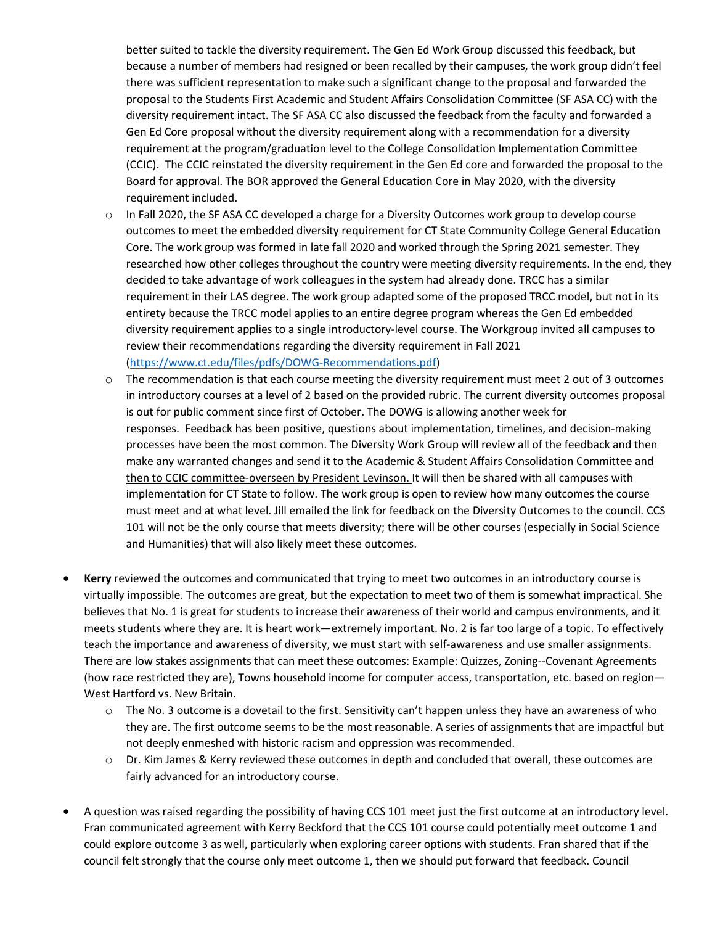better suited to tackle the diversity requirement. The Gen Ed Work Group discussed this feedback, but because a number of members had resigned or been recalled by their campuses, the work group didn't feel there was sufficient representation to make such a significant change to the proposal and forwarded the proposal to the Students First Academic and Student Affairs Consolidation Committee (SF ASA CC) with the diversity requirement intact. The SF ASA CC also discussed the feedback from the faculty and forwarded a Gen Ed Core proposal without the diversity requirement along with a recommendation for a diversity requirement at the program/graduation level to the College Consolidation Implementation Committee (CCIC). The CCIC reinstated the diversity requirement in the Gen Ed core and forwarded the proposal to the Board for approval. The BOR approved the General Education Core in May 2020, with the diversity requirement included.

- $\circ$  In Fall 2020, the SF ASA CC developed a charge for a Diversity Outcomes work group to develop course outcomes to meet the embedded diversity requirement for CT State Community College General Education Core. The work group was formed in late fall 2020 and worked through the Spring 2021 semester. They researched how other colleges throughout the country were meeting diversity requirements. In the end, they decided to take advantage of work colleagues in the system had already done. TRCC has a similar requirement in their LAS degree. The work group adapted some of the proposed TRCC model, but not in its entirety because the TRCC model applies to an entire degree program whereas the Gen Ed embedded diversity requirement applies to a single introductory-level course. The Workgroup invited all campuses to review their recommendations regarding the diversity requirement in Fall 2021 [\(https://www.ct.edu/files/pdfs/DOWG-Recommendations.pdf\)](https://www.ct.edu/files/pdfs/DOWG-Recommendations.pdf)
- o The recommendation is that each course meeting the diversity requirement must meet 2 out of 3 outcomes in introductory courses at a level of 2 based on the provided rubric. The current diversity outcomes proposal is out for public comment since first of October. The DOWG is allowing another week for responses. Feedback has been positive, questions about implementation, timelines, and decision-making processes have been the most common. The Diversity Work Group will review all of the feedback and then make any warranted changes and send it to the Academic & Student Affairs Consolidation Committee and then to CCIC committee-overseen by President Levinson. It will then be shared with all campuses with implementation for CT State to follow. The work group is open to review how many outcomes the course must meet and at what level. Jill emailed the link for feedback on the Diversity Outcomes to the council. CCS 101 will not be the only course that meets diversity; there will be other courses (especially in Social Science and Humanities) that will also likely meet these outcomes.
- **Kerry** reviewed the outcomes and communicated that trying to meet two outcomes in an introductory course is virtually impossible. The outcomes are great, but the expectation to meet two of them is somewhat impractical. She believes that No. 1 is great for students to increase their awareness of their world and campus environments, and it meets students where they are. It is heart work—extremely important. No. 2 is far too large of a topic. To effectively teach the importance and awareness of diversity, we must start with self-awareness and use smaller assignments. There are low stakes assignments that can meet these outcomes: Example: Quizzes, Zoning--Covenant Agreements (how race restricted they are), Towns household income for computer access, transportation, etc. based on region— West Hartford vs. New Britain.
	- $\circ$  The No. 3 outcome is a dovetail to the first. Sensitivity can't happen unless they have an awareness of who they are. The first outcome seems to be the most reasonable. A series of assignments that are impactful but not deeply enmeshed with historic racism and oppression was recommended.
	- o Dr. Kim James & Kerry reviewed these outcomes in depth and concluded that overall, these outcomes are fairly advanced for an introductory course.
- A question was raised regarding the possibility of having CCS 101 meet just the first outcome at an introductory level. Fran communicated agreement with Kerry Beckford that the CCS 101 course could potentially meet outcome 1 and could explore outcome 3 as well, particularly when exploring career options with students. Fran shared that if the council felt strongly that the course only meet outcome 1, then we should put forward that feedback. Council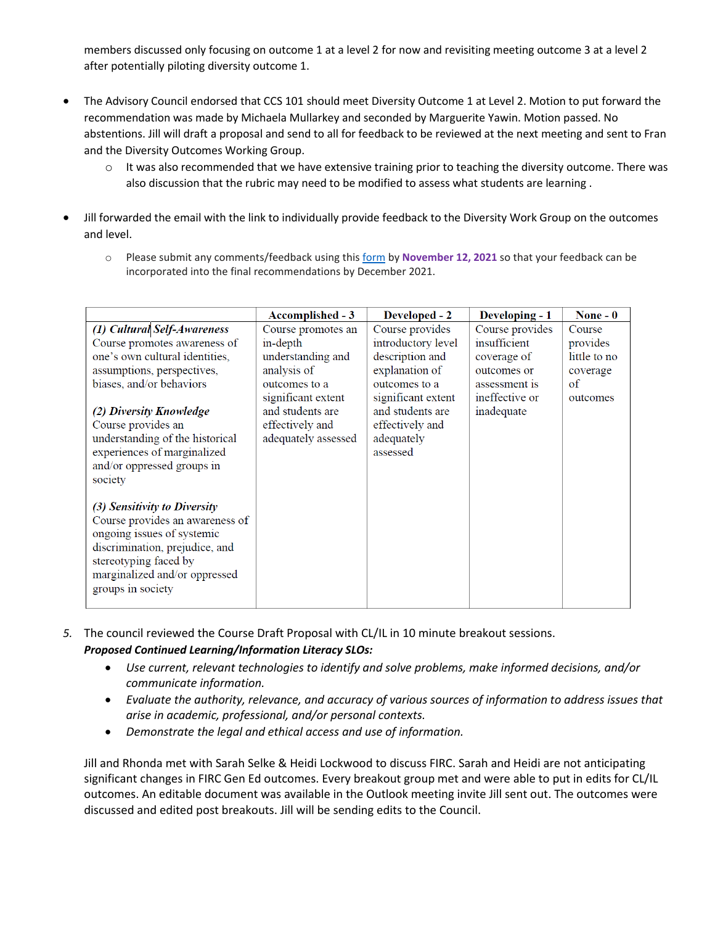members discussed only focusing on outcome 1 at a level 2 for now and revisiting meeting outcome 3 at a level 2 after potentially piloting diversity outcome 1.

- The Advisory Council endorsed that CCS 101 should meet Diversity Outcome 1 at Level 2. Motion to put forward the recommendation was made by Michaela Mullarkey and seconded by Marguerite Yawin. Motion passed. No abstentions. Jill will draft a proposal and send to all for feedback to be reviewed at the next meeting and sent to Fran and the Diversity Outcomes Working Group.
	- $\circ$  It was also recommended that we have extensive training prior to teaching the diversity outcome. There was also discussion that the rubric may need to be modified to assess what students are learning .
- Jill forwarded the email with the link to individually provide feedback to the Diversity Work Group on the outcomes and level.
	- o Please submit any comments/feedback using this [form](https://nam02.safelinks.protection.outlook.com/?url=https%3A%2F%2Fforms.office.com%2Fr%2FXSBji8ZHLk&data=04%7C01%7CRSpaziani%40trcc.commnet.edu%7C95a0292b628345705ba408d9a0903540%7C679df878277a496aac8dd99e58606dd9%7C0%7C0%7C637717363495479151%7CUnknown%7CTWFpbGZsb3d8eyJWIjoiMC4wLjAwMDAiLCJQIjoiV2luMzIiLCJBTiI6Ik1haWwiLCJXVCI6Mn0%3D%7C1000&sdata=%2Fx50rAmQCz2LG6yPkiZJxWaY%2Fj8lFiE1WRtmDkE9A0o%3D&reserved=0) by **November 12, 2021** so that your feedback can be incorporated into the final recommendations by December 2021.

|                                 | Accomplished - 3    | Developed - 2      | Developing - 1  | None $-0$    |
|---------------------------------|---------------------|--------------------|-----------------|--------------|
| (1) Cultural Self-Awareness     | Course promotes an  | Course provides    | Course provides | Course       |
| Course promotes awareness of    | in-depth            | introductory level | insufficient    | provides     |
| one's own cultural identities,  | understanding and   | description and    | coverage of     | little to no |
| assumptions, perspectives,      | analysis of         | explanation of     | outcomes or     | coverage     |
| biases, and/or behaviors        | outcomes to a       | outcomes to a      | assessment is   | of           |
|                                 | significant extent  | significant extent | ineffective or  | outcomes     |
| (2) Diversity Knowledge         | and students are    | and students are   | inadequate      |              |
| Course provides an              | effectively and     | effectively and    |                 |              |
| understanding of the historical | adequately assessed | adequately         |                 |              |
| experiences of marginalized     |                     | assessed           |                 |              |
| and/or oppressed groups in      |                     |                    |                 |              |
| society                         |                     |                    |                 |              |
|                                 |                     |                    |                 |              |
| (3) Sensitivity to Diversity    |                     |                    |                 |              |
| Course provides an awareness of |                     |                    |                 |              |
| ongoing issues of systemic      |                     |                    |                 |              |
| discrimination, prejudice, and  |                     |                    |                 |              |
| stereotyping faced by           |                     |                    |                 |              |
| marginalized and/or oppressed   |                     |                    |                 |              |
| groups in society               |                     |                    |                 |              |
|                                 |                     |                    |                 |              |

- *5.* The council reviewed the Course Draft Proposal with CL/IL in 10 minute breakout sessions. *Proposed Continued Learning/Information Literacy SLOs:*
	- *Use current, relevant technologies to identify and solve problems, make informed decisions, and/or communicate information.*
	- *Evaluate the authority, relevance, and accuracy of various sources of information to address issues that arise in academic, professional, and/or personal contexts.*
	- *Demonstrate the legal and ethical access and use of information.*

Jill and Rhonda met with Sarah Selke & Heidi Lockwood to discuss FIRC. Sarah and Heidi are not anticipating significant changes in FIRC Gen Ed outcomes. Every breakout group met and were able to put in edits for CL/IL outcomes. An editable document was available in the Outlook meeting invite Jill sent out. The outcomes were discussed and edited post breakouts. Jill will be sending edits to the Council.